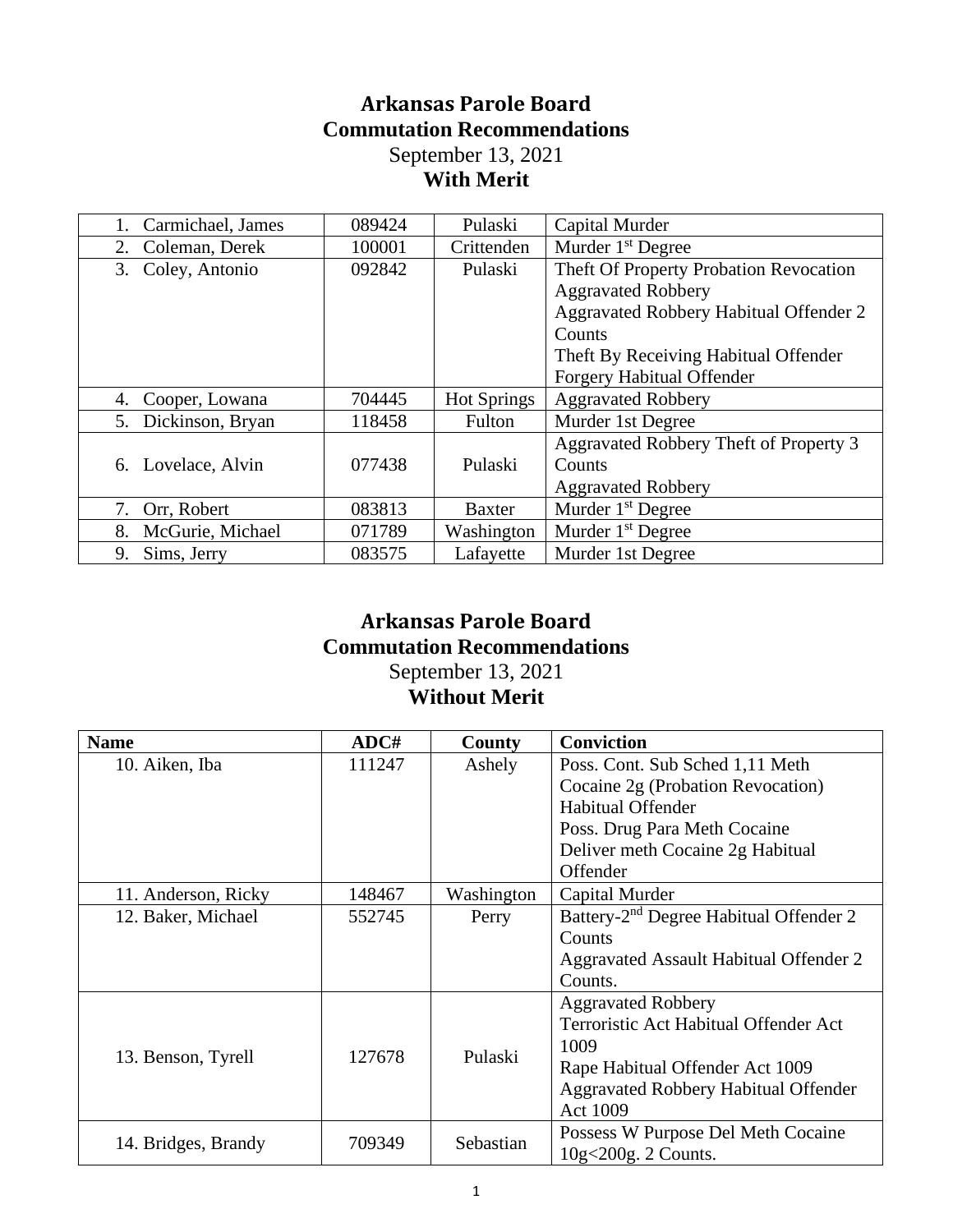## **Arkansas Parole Board Commutation Recommendations** September 13, 2021 **With Merit**

| Carmichael, James      | 089424 | Pulaski            | Capital Murder                                                                                                                                                                                      |
|------------------------|--------|--------------------|-----------------------------------------------------------------------------------------------------------------------------------------------------------------------------------------------------|
| Coleman, Derek<br>2.   | 100001 | Crittenden         | Murder $1st$ Degree                                                                                                                                                                                 |
| Coley, Antonio<br>3.   | 092842 | Pulaski            | Theft Of Property Probation Revocation<br><b>Aggravated Robbery</b><br>Aggravated Robbery Habitual Offender 2<br>Counts<br>Theft By Receiving Habitual Offender<br><b>Forgery Habitual Offender</b> |
| Cooper, Lowana<br>4.   | 704445 | <b>Hot Springs</b> | <b>Aggravated Robbery</b>                                                                                                                                                                           |
| 5. Dickinson, Bryan    | 118458 | Fulton             | Murder 1st Degree                                                                                                                                                                                   |
| 6. Lovelace, Alvin     | 077438 | Pulaski            | Aggravated Robbery Theft of Property 3<br>Counts<br><b>Aggravated Robbery</b>                                                                                                                       |
| 7. Orr, Robert         | 083813 | <b>Baxter</b>      | Murder 1 <sup>st</sup> Degree                                                                                                                                                                       |
| McGurie, Michael<br>8. | 071789 | Washington         | Murder 1 <sup>st</sup> Degree                                                                                                                                                                       |
| Sims, Jerry<br>9.      | 083575 | Lafayette          | Murder 1st Degree                                                                                                                                                                                   |

## **Arkansas Parole Board Commutation Recommendations** September 13, 2021 **Without Merit**

| <b>Name</b>         | ADC#   | County     | <b>Conviction</b>                                  |
|---------------------|--------|------------|----------------------------------------------------|
| 10. Aiken, Iba      | 111247 | Ashely     | Poss. Cont. Sub Sched 1,11 Meth                    |
|                     |        |            | Cocaine 2g (Probation Revocation)                  |
|                     |        |            | Habitual Offender                                  |
|                     |        |            | Poss. Drug Para Meth Cocaine                       |
|                     |        |            | Deliver meth Cocaine 2g Habitual                   |
|                     |        |            | Offender                                           |
| 11. Anderson, Ricky | 148467 | Washington | Capital Murder                                     |
| 12. Baker, Michael  | 552745 | Perry      | Battery-2 <sup>nd</sup> Degree Habitual Offender 2 |
|                     |        |            | Counts                                             |
|                     |        |            | Aggravated Assault Habitual Offender 2             |
|                     |        |            | Counts.                                            |
|                     |        |            | <b>Aggravated Robbery</b>                          |
|                     |        |            | Terroristic Act Habitual Offender Act              |
| 13. Benson, Tyrell  | 127678 | Pulaski    | 1009                                               |
|                     |        |            | Rape Habitual Offender Act 1009                    |
|                     |        |            | <b>Aggravated Robbery Habitual Offender</b>        |
|                     |        |            | Act 1009                                           |
|                     |        | Sebastian  | Possess W Purpose Del Meth Cocaine                 |
| 14. Bridges, Brandy | 709349 |            | 10g<200g. 2 Counts.                                |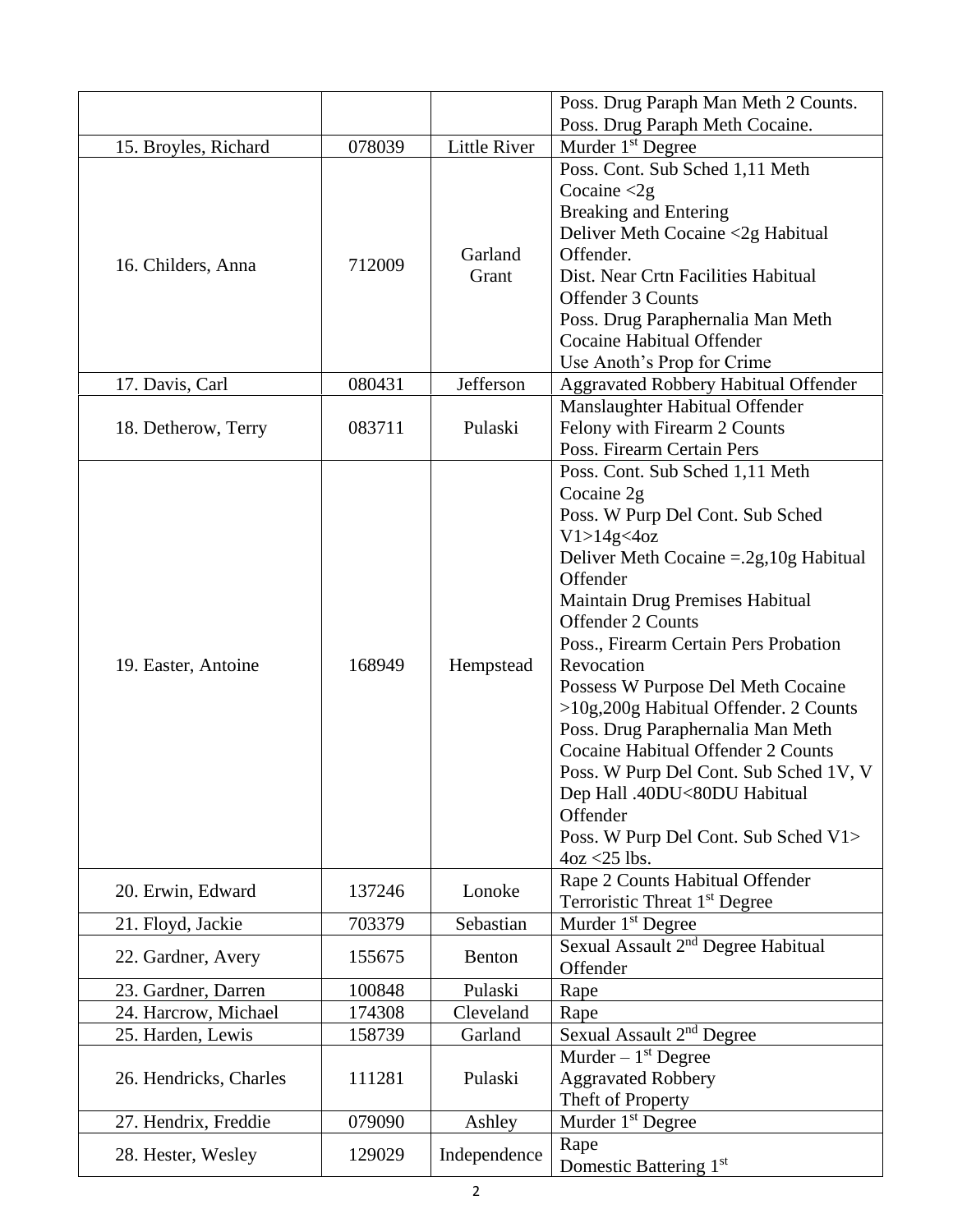|                        |        |                     | Poss. Drug Paraph Man Meth 2 Counts.                                                                                                                                                                                                                                                                                                                                                                                                                                                                                                                                                                |
|------------------------|--------|---------------------|-----------------------------------------------------------------------------------------------------------------------------------------------------------------------------------------------------------------------------------------------------------------------------------------------------------------------------------------------------------------------------------------------------------------------------------------------------------------------------------------------------------------------------------------------------------------------------------------------------|
|                        |        |                     | Poss. Drug Paraph Meth Cocaine.                                                                                                                                                                                                                                                                                                                                                                                                                                                                                                                                                                     |
| 15. Broyles, Richard   | 078039 | <b>Little River</b> | Murder 1 <sup>st</sup> Degree                                                                                                                                                                                                                                                                                                                                                                                                                                                                                                                                                                       |
| 16. Childers, Anna     | 712009 | Garland<br>Grant    | Poss. Cont. Sub Sched 1,11 Meth<br>Cocaine $\langle 2g \rangle$<br><b>Breaking and Entering</b><br>Deliver Meth Cocaine <2g Habitual<br>Offender.<br>Dist. Near Crtn Facilities Habitual<br>Offender 3 Counts<br>Poss. Drug Paraphernalia Man Meth<br>Cocaine Habitual Offender<br>Use Anoth's Prop for Crime                                                                                                                                                                                                                                                                                       |
| 17. Davis, Carl        | 080431 | Jefferson           | <b>Aggravated Robbery Habitual Offender</b>                                                                                                                                                                                                                                                                                                                                                                                                                                                                                                                                                         |
| 18. Detherow, Terry    | 083711 | Pulaski             | Manslaughter Habitual Offender<br>Felony with Firearm 2 Counts<br>Poss. Firearm Certain Pers                                                                                                                                                                                                                                                                                                                                                                                                                                                                                                        |
| 19. Easter, Antoine    | 168949 | Hempstead           | Poss. Cont. Sub Sched 1,11 Meth<br>Cocaine 2g<br>Poss. W Purp Del Cont. Sub Sched<br>V1 > 14g < 4oz<br>Deliver Meth Cocaine $=.2g,10g$ Habitual<br>Offender<br>Maintain Drug Premises Habitual<br><b>Offender 2 Counts</b><br>Poss., Firearm Certain Pers Probation<br>Revocation<br>Possess W Purpose Del Meth Cocaine<br>>10g,200g Habitual Offender. 2 Counts<br>Poss. Drug Paraphernalia Man Meth<br><b>Cocaine Habitual Offender 2 Counts</b><br>Poss. W Purp Del Cont. Sub Sched 1V, V<br>Dep Hall .40DU<80DU Habitual<br>Offender<br>Poss. W Purp Del Cont. Sub Sched V1><br>$4oz < 25$ lbs. |
| 20. Erwin, Edward      | 137246 | Lonoke              | Rape 2 Counts Habitual Offender<br>Terroristic Threat 1 <sup>st</sup> Degree                                                                                                                                                                                                                                                                                                                                                                                                                                                                                                                        |
| 21. Floyd, Jackie      | 703379 | Sebastian           | Murder 1 <sup>st</sup> Degree                                                                                                                                                                                                                                                                                                                                                                                                                                                                                                                                                                       |
| 22. Gardner, Avery     | 155675 | Benton              | Sexual Assault 2 <sup>nd</sup> Degree Habitual<br>Offender                                                                                                                                                                                                                                                                                                                                                                                                                                                                                                                                          |
| 23. Gardner, Darren    | 100848 | Pulaski             | Rape                                                                                                                                                                                                                                                                                                                                                                                                                                                                                                                                                                                                |
| 24. Harcrow, Michael   | 174308 | Cleveland           | Rape                                                                                                                                                                                                                                                                                                                                                                                                                                                                                                                                                                                                |
| 25. Harden, Lewis      | 158739 | Garland             | Sexual Assault 2 <sup>nd</sup> Degree                                                                                                                                                                                                                                                                                                                                                                                                                                                                                                                                                               |
| 26. Hendricks, Charles | 111281 | Pulaski             | Murder $-1st$ Degree<br><b>Aggravated Robbery</b><br>Theft of Property                                                                                                                                                                                                                                                                                                                                                                                                                                                                                                                              |
| 27. Hendrix, Freddie   | 079090 | Ashley              | Murder 1 <sup>st</sup> Degree                                                                                                                                                                                                                                                                                                                                                                                                                                                                                                                                                                       |
| 28. Hester, Wesley     | 129029 | Independence        | Rape<br>Domestic Battering 1st                                                                                                                                                                                                                                                                                                                                                                                                                                                                                                                                                                      |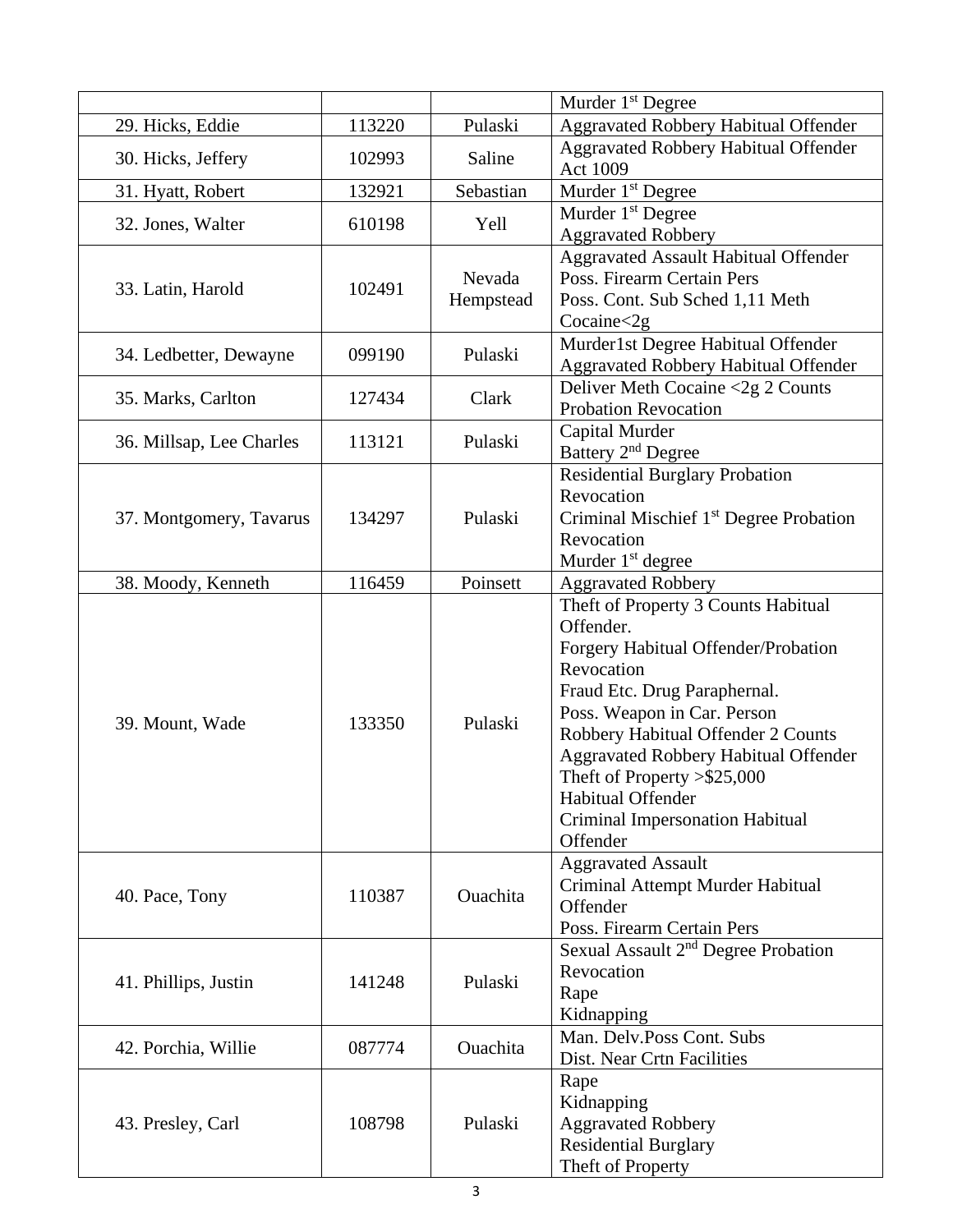|                          |        |                     | Murder 1 <sup>st</sup> Degree                                                                                                                                                                                                                                                                                                                                  |
|--------------------------|--------|---------------------|----------------------------------------------------------------------------------------------------------------------------------------------------------------------------------------------------------------------------------------------------------------------------------------------------------------------------------------------------------------|
| 29. Hicks, Eddie         | 113220 | Pulaski             | <b>Aggravated Robbery Habitual Offender</b>                                                                                                                                                                                                                                                                                                                    |
| 30. Hicks, Jeffery       | 102993 | Saline              | <b>Aggravated Robbery Habitual Offender</b><br><b>Act 1009</b>                                                                                                                                                                                                                                                                                                 |
| 31. Hyatt, Robert        | 132921 | Sebastian           | Murder 1 <sup>st</sup> Degree                                                                                                                                                                                                                                                                                                                                  |
| 32. Jones, Walter        | 610198 | Yell                | Murder 1 <sup>st</sup> Degree                                                                                                                                                                                                                                                                                                                                  |
|                          |        |                     | <b>Aggravated Robbery</b><br><b>Aggravated Assault Habitual Offender</b>                                                                                                                                                                                                                                                                                       |
| 33. Latin, Harold        | 102491 | Nevada<br>Hempstead | Poss. Firearm Certain Pers<br>Poss. Cont. Sub Sched 1,11 Meth<br>Cocaine < 2g                                                                                                                                                                                                                                                                                  |
| 34. Ledbetter, Dewayne   | 099190 | Pulaski             | Murder1st Degree Habitual Offender<br><b>Aggravated Robbery Habitual Offender</b>                                                                                                                                                                                                                                                                              |
| 35. Marks, Carlton       | 127434 | Clark               | Deliver Meth Cocaine <2g 2 Counts<br><b>Probation Revocation</b>                                                                                                                                                                                                                                                                                               |
| 36. Millsap, Lee Charles | 113121 | Pulaski             | Capital Murder<br>Battery 2 <sup>nd</sup> Degree                                                                                                                                                                                                                                                                                                               |
|                          |        |                     | <b>Residential Burglary Probation</b>                                                                                                                                                                                                                                                                                                                          |
| 37. Montgomery, Tavarus  | 134297 |                     | Revocation<br>Criminal Mischief 1 <sup>st</sup> Degree Probation                                                                                                                                                                                                                                                                                               |
|                          |        | Pulaski             | Revocation                                                                                                                                                                                                                                                                                                                                                     |
|                          |        |                     | Murder 1 <sup>st</sup> degree                                                                                                                                                                                                                                                                                                                                  |
| 38. Moody, Kenneth       | 116459 | Poinsett            | <b>Aggravated Robbery</b>                                                                                                                                                                                                                                                                                                                                      |
| 39. Mount, Wade          | 133350 | Pulaski             | Theft of Property 3 Counts Habitual<br>Offender.<br>Forgery Habitual Offender/Probation<br>Revocation<br>Fraud Etc. Drug Paraphernal.<br>Poss. Weapon in Car. Person<br>Robbery Habitual Offender 2 Counts<br><b>Aggravated Robbery Habitual Offender</b><br>Theft of Property $> $25,000$<br>Habitual Offender<br>Criminal Impersonation Habitual<br>Offender |
| 40. Pace, Tony           | 110387 | Ouachita            | <b>Aggravated Assault</b><br>Criminal Attempt Murder Habitual<br>Offender<br>Poss. Firearm Certain Pers                                                                                                                                                                                                                                                        |
| 41. Phillips, Justin     | 141248 | Pulaski             | Sexual Assault 2 <sup>nd</sup> Degree Probation<br>Revocation<br>Rape<br>Kidnapping                                                                                                                                                                                                                                                                            |
| 42. Porchia, Willie      | 087774 | Ouachita            | Man. Delv.Poss Cont. Subs<br>Dist. Near Crtn Facilities                                                                                                                                                                                                                                                                                                        |
| 43. Presley, Carl        | 108798 | Pulaski             | Rape<br>Kidnapping<br><b>Aggravated Robbery</b><br><b>Residential Burglary</b><br>Theft of Property                                                                                                                                                                                                                                                            |